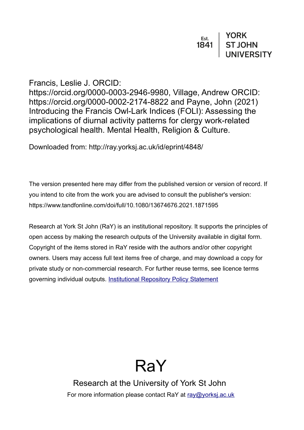# Francis, Leslie J. ORCID:

https://orcid.org/0000-0003-2946-9980, Village, Andrew ORCID: https://orcid.org/0000-0002-2174-8822 and Payne, John (2021) Introducing the Francis Owl-Lark Indices (FOLI): Assessing the implications of diurnal activity patterns for clergy work-related psychological health. Mental Health, Religion & Culture.

Downloaded from: http://ray.yorksj.ac.uk/id/eprint/4848/

The version presented here may differ from the published version or version of record. If you intend to cite from the work you are advised to consult the publisher's version: https://www.tandfonline.com/doi/full/10.1080/13674676.2021.1871595

Research at York St John (RaY) is an institutional repository. It supports the principles of open access by making the research outputs of the University available in digital form. Copyright of the items stored in RaY reside with the authors and/or other copyright owners. Users may access full text items free of charge, and may download a copy for private study or non-commercial research. For further reuse terms, see licence terms governing individual outputs. [Institutional Repository Policy Statement](https://www.yorksj.ac.uk/ils/repository-policies/)



Research at the University of York St John For more information please contact RaY at [ray@yorksj.ac.uk](mailto:ray@yorksj.ac.uk)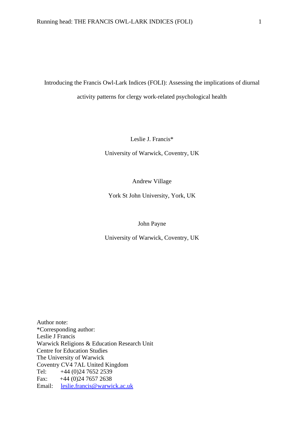Introducing the Francis Owl-Lark Indices (FOLI): Assessing the implications of diurnal activity patterns for clergy work-related psychological health

Leslie J. Francis\*

University of Warwick, Coventry, UK

Andrew Village

York St John University, York, UK

John Payne

University of Warwick, Coventry, UK

Author note: \*Corresponding author: Leslie J Francis Warwick Religions & Education Research Unit Centre for Education Studies The University of Warwick Coventry CV4 7AL United Kingdom Tel: +44 (0)24 7652 2539 Fax:  $+44 (0)24 7657 2638$ Email: [leslie.francis@warwick.ac.uk](mailto:leslie.francis@warwick.ac.uk)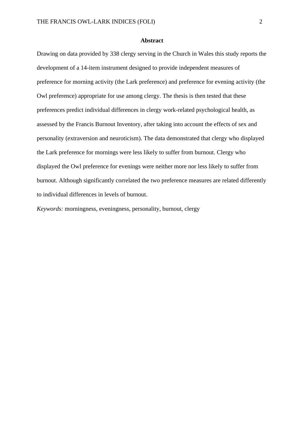#### **Abstract**

Drawing on data provided by 338 clergy serving in the Church in Wales this study reports the development of a 14-item instrument designed to provide independent measures of preference for morning activity (the Lark preference) and preference for evening activity (the Owl preference) appropriate for use among clergy. The thesis is then tested that these preferences predict individual differences in clergy work-related psychological health, as assessed by the Francis Burnout Inventory, after taking into account the effects of sex and personality (extraversion and neuroticism). The data demonstrated that clergy who displayed the Lark preference for mornings were less likely to suffer from burnout. Clergy who displayed the Owl preference for evenings were neither more nor less likely to suffer from burnout. Although significantly correlated the two preference measures are related differently to individual differences in levels of burnout.

*Keywords:* morningness, eveningness, personality, burnout, clergy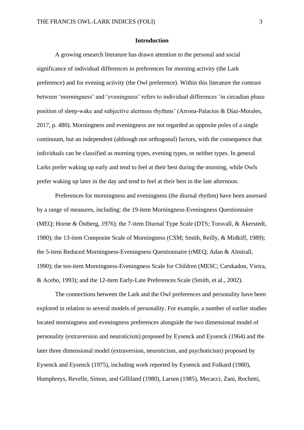#### **Introduction**

A growing research literature has drawn attention to the personal and social significance of individual differences in preferences for morning activity (the Lark preference) and for evening activity (the Owl preference). Within this literature the contrast between 'morningness' and 'eveningness' refers to individual differences 'in circadian phase position of sleep-wake and subjective alertness rhythms' (Arrona-Palacios & Díaz-Morales, 2017, p. 480). Morningness and eveningness are not regarded as opposite poles of a single continuum, but an independent (although not orthogonal) factors, with the consequence that individuals can be classified as morning types, evening types, or neither types. In general Larks prefer waking up early and tend to feel at their best during the morning, while Owls prefer waking up later in the day and tend to feel at their best in the late afternoon.

Preferences for morningness and eveningness (the diurnal rhythm) have been assessed by a range of measures, including: the 19-item Morningness-Eveningness Questionnaire (MEQ; Horne & Östberg, 1976); the 7-item Diurnal Type Scale (DTS; Torsvall, & Åkerstedt, 1980); the 13-item Composite Scale of Morningness (CSM; Smith, Reilly, & Midkiff, 1989); the 5-item Reduced Morningness-Eveningness Questionnaire (rMEQ; Adan & Almirall, 1990); the ten-item Morningness-Eveningness Scale for Children (MESC; Carskadon, Vieira, & Acebo, 1993); and the 12-item Early-Late Preferences Scale (Smith, et al., 2002).

The connections between the Lark and the Owl preferences and personality have been explored in relation to several models of personality. For example, a number of earlier studies located morningness and eveningness preferences alongside the two dimensional model of personality (extraversion and neuroticism) proposed by Eysenck and Eysenck (1964) and the later three dimensional model (extraversion, neuroticism, and psychoticism) proposed by Eysenck and Eysenck (1975), including work reported by Eysenck and Folkard (1980), Humphreys, Revelle, Simon, and Gilliland (1980), Larsen (1985), Mecacci, Zani, Rochetti,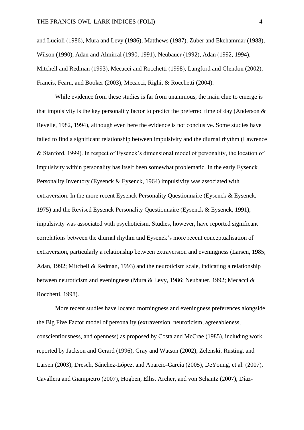and Lucioli (1986), Mura and Levy (1986), Matthews (1987), Zuber and Ekehammar (1988), Wilson (1990), Adan and Almirral (1990, 1991), Neubauer (1992), Adan (1992, 1994), Mitchell and Redman (1993), Mecacci and Rocchetti (1998), Langford and Glendon (2002), Francis, Fearn, and Booker (2003), Mecacci, Righi, & Rocchetti (2004).

While evidence from these studies is far from unanimous, the main clue to emerge is that impulsivity is the key personality factor to predict the preferred time of day (Anderson  $\&$ Revelle, 1982, 1994), although even here the evidence is not conclusive. Some studies have failed to find a significant relationship between impulsivity and the diurnal rhythm (Lawrence & Stanford, 1999). In respect of Eysenck's dimensional model of personality, the location of impulsivity within personality has itself been somewhat problematic. In the early Eysenck Personality Inventory (Eysenck & Eysenck, 1964) impulsivity was associated with extraversion. In the more recent Eysenck Personality Questionnaire (Eysenck & Eysenck, 1975) and the Revised Eysenck Personality Questionnaire (Eysenck & Eysenck, 1991), impulsivity was associated with psychoticism. Studies, however, have reported significant correlations between the diurnal rhythm and Eysenck's more recent conceptualisation of extraversion, particularly a relationship between extraversion and eveningness (Larsen, 1985; Adan, 1992; Mitchell & Redman, 1993) and the neuroticism scale, indicating a relationship between neuroticism and eveningness (Mura & Levy, 1986; Neubauer, 1992; Mecacci & Rocchetti, 1998).

More recent studies have located morningness and eveningness preferences alongside the Big Five Factor model of personality (extraversion, neuroticism, agreeableness, conscientiousness, and openness) as proposed by Costa and McCrae (1985), including work reported by Jackson and Gerard (1996), Gray and Watson (2002), Zelenski, Rusting, and Larsen (2003), Dresch, Sánchez-López, and Aparcio-García (2005), DeYoung, et al. (2007), Cavallera and Giampietro (2007), Hogben, Ellis, Archer, and von Schantz (2007), Díaz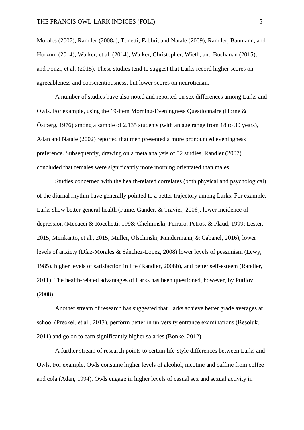Morales (2007), Randler (2008a), Tonetti, Fabbri, and Natale (2009), Randler, Baumann, and Horzum (2014), Walker, et al. (2014), Walker, Christopher, Wieth, and Buchanan (2015), and Ponzi, et al. (2015). These studies tend to suggest that Larks record higher scores on agreeableness and conscientiousness, but lower scores on neuroticism.

A number of studies have also noted and reported on sex differences among Larks and Owls. For example, using the 19-item Morning-Eveningness Questionnaire (Horne & Östberg, 1976) among a sample of 2,135 students (with an age range from 18 to 30 years), Adan and Natale (2002) reported that men presented a more pronounced eveningness preference. Subsequently, drawing on a meta analysis of 52 studies, Randler (2007) concluded that females were significantly more morning orientated than males.

Studies concerned with the health-related correlates (both physical and psychological) of the diurnal rhythm have generally pointed to a better trajectory among Larks. For example, Larks show better general health (Paine, Gander, & Travier, 2006), lower incidence of depression (Mecacci & Rocchetti, 1998; Chelminski, Ferraro, Petros, & Plaud, 1999; Lester, 2015; Merikanto, et al., 2015; Müller, Olschinski, Kundermann, & Cabanel, 2016), lower levels of anxiety (Díaz-Morales & Sánchez-Lopez, 2008) lower levels of pessimism (Lewy, 1985), higher levels of satisfaction in life (Randler, 2008b), and better self-esteem (Randler, 2011). The health-related advantages of Larks has been questioned, however, by Putilov (2008).

Another stream of research has suggested that Larks achieve better grade averages at school (Preckel, et al., 2013), perform better in university entrance examinations (Beşoluk, 2011) and go on to earn significantly higher salaries (Bonke, 2012).

A further stream of research points to certain life-style differences between Larks and Owls. For example, Owls consume higher levels of alcohol, nicotine and caffine from coffee and cola (Adan, 1994). Owls engage in higher levels of casual sex and sexual activity in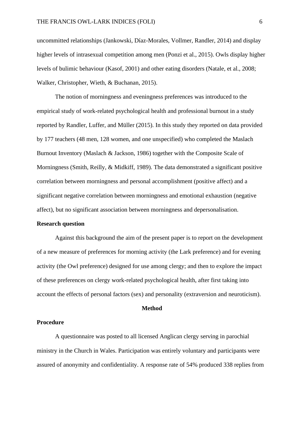uncommitted relationships (Jankowski, Díaz-Morales, Vollmer, Randler, 2014) and display higher levels of intrasexual competition among men (Ponzi et al., 2015). Owls display higher levels of bulimic behaviour (Kasof, 2001) and other eating disorders (Natale, et al., 2008; Walker, Christopher, Wieth, & Buchanan, 2015).

The notion of morningness and eveningness preferences was introduced to the empirical study of work-related psychological health and professional burnout in a study reported by Randler, Luffer, and Müller (2015). In this study they reported on data provided by 177 teachers (48 men, 128 women, and one unspecified) who completed the Maslach Burnout Inventory (Maslach & Jackson, 1986) together with the Composite Scale of Morningness (Smith, Reilly, & Midkiff, 1989). The data demonstrated a significant positive correlation between morningness and personal accomplishment (positive affect) and a significant negative correlation between morningness and emotional exhaustion (negative affect), but no significant association between morningness and depersonalisation.

## **Research question**

Against this background the aim of the present paper is to report on the development of a new measure of preferences for morning activity (the Lark preference) and for evening activity (the Owl preference) designed for use among clergy; and then to explore the impact of these preferences on clergy work-related psychological health, after first taking into account the effects of personal factors (sex) and personality (extraversion and neuroticism).

### **Method**

## **Procedure**

A questionnaire was posted to all licensed Anglican clergy serving in parochial ministry in the Church in Wales. Participation was entirely voluntary and participants were assured of anonymity and confidentiality. A response rate of 54% produced 338 replies from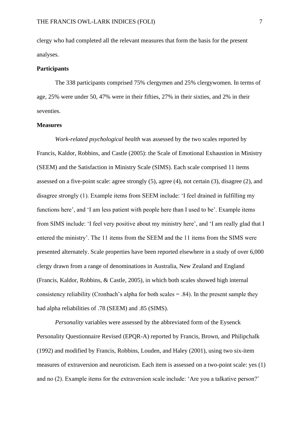clergy who had completed all the relevant measures that form the basis for the present analyses.

### **Participants**

The 338 participants comprised 75% clergymen and 25% clergywomen. In terms of age, 25% were under 50, 47% were in their fifties, 27% in their sixties, and 2% in their seventies.

### **Measures**

*Work-related psychological health* was assessed by the two scales reported by Francis, Kaldor, Robbins, and Castle (2005): the Scale of Emotional Exhaustion in Ministry (SEEM) and the Satisfaction in Ministry Scale (SIMS). Each scale comprised 11 items assessed on a five-point scale: agree strongly (5), agree (4), not certain (3), disagree (2), and disagree strongly (1). Example items from SEEM include: 'I feel drained in fulfilling my functions here', and 'I am less patient with people here than I used to be'. Example items from SIMS include: 'I feel very positive about my ministry here', and 'I am really glad that I entered the ministry'. The 11 items from the SEEM and the 11 items from the SIMS were presented alternately. Scale properties have been reported elsewhere in a study of over 6,000 clergy drawn from a range of denominations in Australia, New Zealand and England (Francis, Kaldor, Robbins, & Castle, 2005), in which both scales showed high internal consistency reliability (Cronbach's alpha for both scales  $= .84$ ). In the present sample they had alpha reliabilities of .78 (SEEM) and .85 (SIMS).

*Personality* variables were assessed by the abbreviated form of the Eysenck Personality Questionnaire Revised (EPQR-A) reported by Francis, Brown, and Philipchalk (1992) and modified by Francis, Robbins, Louden, and Haley (2001), using two six-item measures of extraversion and neuroticism. Each item is assessed on a two-point scale: yes (1) and no (2). Example items for the extraversion scale include: 'Are you a talkative person?'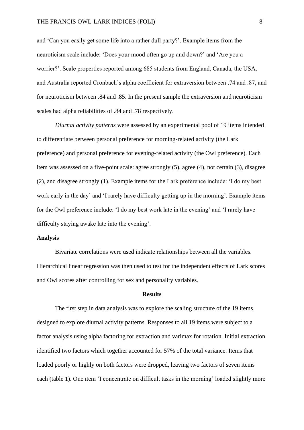and 'Can you easily get some life into a rather dull party?'. Example items from the neuroticism scale include: 'Does your mood often go up and down?' and 'Are you a worrier?'. Scale properties reported among 685 students from England, Canada, the USA, and Australia reported Cronbach's alpha coefficient for extraversion between .74 and .87, and for neuroticism between .84 and .85. In the present sample the extraversion and neuroticism scales had alpha reliabilities of .84 and .78 respectively.

*Diurnal activity patterns* were assessed by an experimental pool of 19 items intended to differentiate between personal preference for morning-related activity (the Lark preference) and personal preference for evening-related activity (the Owl preference). Each item was assessed on a five-point scale: agree strongly (5), agree (4), not certain (3), disagree (2), and disagree strongly (1). Example items for the Lark preference include: 'I do my best work early in the day' and 'I rarely have difficulty getting up in the morning'. Example items for the Owl preference include: 'I do my best work late in the evening' and 'I rarely have difficulty staying awake late into the evening'.

### **Analysis**

Bivariate correlations were used indicate relationships between all the variables. Hierarchical linear regression was then used to test for the independent effects of Lark scores and Owl scores after controlling for sex and personality variables.

### **Results**

The first step in data analysis was to explore the scaling structure of the 19 items designed to explore diurnal activity patterns. Responses to all 19 items were subject to a factor analysis using alpha factoring for extraction and varimax for rotation. Initial extraction identified two factors which together accounted for 57% of the total variance. Items that loaded poorly or highly on both factors were dropped, leaving two factors of seven items each (table 1). One item 'I concentrate on difficult tasks in the morning' loaded slightly more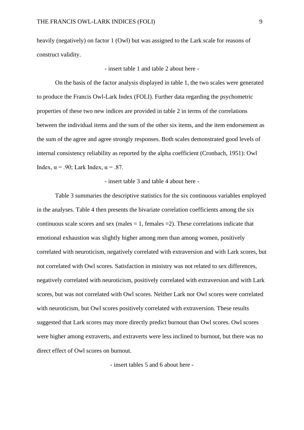heavily (negatively) on factor 1 (Owl) but was assigned to the Lark scale for reasons of construct validity.

- insert table 1 and table 2 about here -

On the basis of the factor analysis displayed in table 1, the two scales were generated to produce the Francis Owl-Lark Index (FOLI). Further data regarding the psychometric properties of these two new indices are provided in table 2 in terms of the correlations between the individual items and the sum of the other six items, and the item endorsement as the sum of the agree and agree strongly responses. Both scales demonstrated good levels of internal consistency reliability as reported by the alpha coefficient (Cronbach, 1951): Owl Index,  $\alpha$  = .90; Lark Index,  $\alpha$  = .87.

- insert table 3 and table 4 about here -

Table 3 summaries the descriptive statistics for the six continuous variables employed in the analyses. Table 4 then presents the bivariate correlation coefficients among the six continuous scale scores and sex (males  $= 1$ , females  $= 2$ ). These correlations indicate that emotional exhaustion was slightly higher among men than among women, positively correlated with neuroticism, negatively correlated with extraversion and with Lark scores, but not correlated with Owl scores. Satisfaction in ministry was not related to sex differences, negatively correlated with neuroticism, positively correlated with extraversion and with Lark scores, but was not correlated with Owl scores. Neither Lark nor Owl scores were correlated with neuroticism, but Owl scores positively correlated with extraversion. These results suggested that Lark scores may more directly predict burnout than Owl scores. Owl scores were higher among extraverts, and extraverts were less inclined to burnout, but there was no direct effect of Owl scores on burnout.

- insert tables 5 and 6 about here -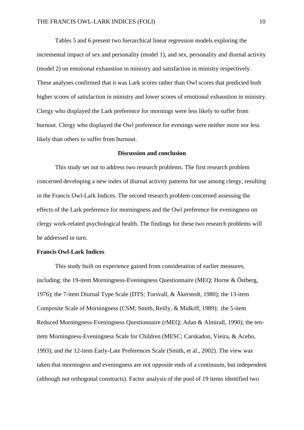Tables 5 and 6 present two hierarchical linear regression models exploring the incremental impact of sex and personality (model 1), and sex, personality and diurnal activity (model 2) on emotional exhaustion in ministry and satisfaction in ministry respectively. These analyses confirmed that it was Lark scores rather than Owl scores that predicted both higher scores of satisfaction in ministry and lower scores of emotional exhaustion in ministry. Clergy who displayed the Lark preference for mornings were less likely to suffer from burnout. Clergy who displayed the Owl preference for evenings were neither more nor less likely than others to suffer from burnout.

## **Discussion and conclusion**

This study set out to address two research problems. The first research problem concerned developing a new index of diurnal activity patterns for use among clergy, resulting in the Francis Owl-Lark Indices. The second research problem concerned assessing the effects of the Lark preference for morningness and the Owl preference for eveningness on clergy work-related psychological health. The findings for these two research problems will be addressed in turn.

### **Francis Owl-Lark Indices**

This study built on experience gained from consideration of earlier measures, including: the 19-item Morningness-Eveningness Questionnaire (MEQ; Horne & Östberg, 1976); the 7-item Diurnal Type Scale (DTS; Torsvall, & Åkerstedt, 1980); the 13-item Composite Scale of Morningness (CSM; Smith, Reilly, & Midkiff, 1989); the 5-item Reduced Morningness-Eveningness Questionnaire (rMEQ; Adan & Almirall, 1990); the tenitem Morningness-Eveningness Scale for Children (MESC; Carskadon, Vieira, & Acebo, 1993); and the 12-item Early-Late Preferences Scale (Smith, et al., 2002). The view was taken that morningess and eveningness are not opposite ends of a continuum, but independent (although not orthogonal constructs). Factor analysis of the pool of 19 items identified two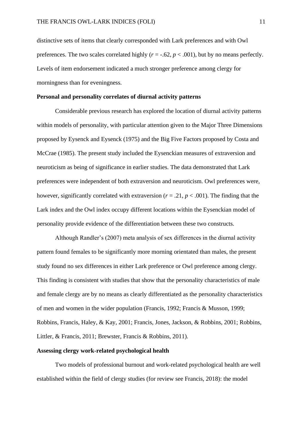distinctive sets of items that clearly corresponded with Lark preferences and with Owl preferences. The two scales correlated highly  $(r = -.62, p < .001)$ , but by no means perfectly. Levels of item endorsement indicated a much stronger preference among clergy for morningness than for eveningness.

#### **Personal and personality correlates of diurnal activity patterns**

Considerable previous research has explored the location of diurnal activity patterns within models of personality, with particular attention given to the Major Three Dimensions proposed by Eysenck and Eysenck (1975) and the Big Five Factors proposed by Costa and McCrae (1985). The present study included the Eysenckian measures of extraversion and neuroticism as being of significance in earlier studies. The data demonstrated that Lark preferences were independent of both extraversion and neuroticism. Owl preferences were, however, significantly correlated with extraversion ( $r = .21$ ,  $p < .001$ ). The finding that the Lark index and the Owl index occupy different locations within the Eysenckian model of personality provide evidence of the differentiation between these two constructs.

Although Randler's (2007) meta analysis of sex differences in the diurnal activity pattern found females to be significantly more morning orientated than males, the present study found no sex differences in either Lark preference or Owl preference among clergy. This finding is consistent with studies that show that the personality characteristics of male and female clergy are by no means as clearly differentiated as the personality characteristics of men and women in the wider population (Francis, 1992; Francis & Musson, 1999; Robbins, Francis, Haley, & Kay, 2001; Francis, Jones, Jackson, & Robbins, 2001; Robbins, Littler, & Francis, 2011; Brewster, Francis & Robbins, 2011).

### **Assessing clergy work-related psychological health**

Two models of professional burnout and work-related psychological health are well established within the field of clergy studies (for review see Francis, 2018): the model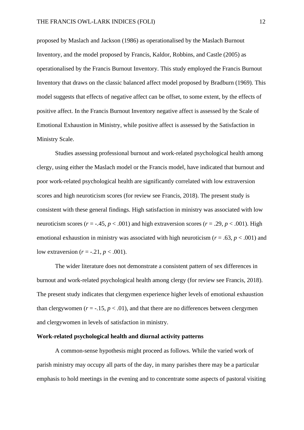proposed by Maslach and Jackson (1986) as operationalised by the Maslach Burnout Inventory, and the model proposed by Francis, Kaldor, Robbins, and Castle (2005) as operationalised by the Francis Burnout Inventory. This study employed the Francis Burnout Inventory that draws on the classic balanced affect model proposed by Bradburn (1969). This model suggests that effects of negative affect can be offset, to some extent, by the effects of positive affect. In the Francis Burnout Inventory negative affect is assessed by the Scale of Emotional Exhaustion in Ministry, while positive affect is assessed by the Satisfaction in Ministry Scale.

Studies assessing professional burnout and work-related psychological health among clergy, using either the Maslach model or the Francis model, have indicated that burnout and poor work-related psychological health are significantly correlated with low extraversion scores and high neuroticism scores (for review see Francis, 2018). The present study is consistent with these general findings. High satisfaction in ministry was associated with low neuroticism scores ( $r = -0.45$ ,  $p < 0.001$ ) and high extraversion scores ( $r = 0.29$ ,  $p < 0.001$ ). High emotional exhaustion in ministry was associated with high neuroticism ( $r = .63$ ,  $p < .001$ ) and low extraversion  $(r = -.21, p < .001)$ .

The wider literature does not demonstrate a consistent pattern of sex differences in burnout and work-related psychological health among clergy (for review see Francis, 2018). The present study indicates that clergymen experience higher levels of emotional exhaustion than clergywomen  $(r = -15, p < 0.01)$ , and that there are no differences between clergymen and clergywomen in levels of satisfaction in ministry.

## **Work-related psychological health and diurnal activity patterns**

A common-sense hypothesis might proceed as follows. While the varied work of parish ministry may occupy all parts of the day, in many parishes there may be a particular emphasis to hold meetings in the evening and to concentrate some aspects of pastoral visiting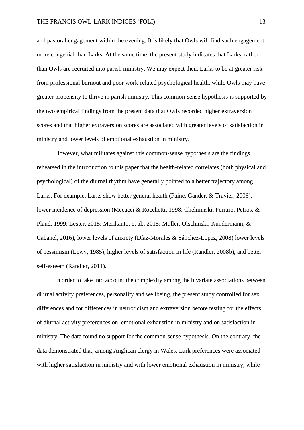and pastoral engagement within the evening. It is likely that Owls will find such engagement more congenial than Larks. At the same time, the present study indicates that Larks, rather than Owls are recruited into parish ministry. We may expect then, Larks to be at greater risk from professional burnout and poor work-related psychological health, while Owls may have greater propensity to thrive in parish ministry. This common-sense hypothesis is supported by the two empirical findings from the present data that Owls recorded higher extraversion scores and that higher extraversion scores are associated with greater levels of satisfaction in ministry and lower levels of emotional exhaustion in ministry.

However, what militates against this common-sense hypothesis are the findings rehearsed in the introduction to this paper that the health-related correlates (both physical and psychological) of the diurnal rhythm have generally pointed to a better trajectory among Larks. For example, Larks show better general health (Paine, Gander, & Travier, 2006), lower incidence of depression (Mecacci & Rocchetti, 1998; Chelminski, Ferraro, Petros, & Plaud, 1999; Lester, 2015; Merikanto, et al., 2015; Müller, Olschinski, Kundermann, & Cabanel, 2016), lower levels of anxiety (Díaz-Morales & Sánchez-Lopez, 2008) lower levels of pessimism (Lewy, 1985), higher levels of satisfaction in life (Randler, 2008b), and better self-esteem (Randler, 2011).

In order to take into account the complexity among the bivariate associations between diurnal activity preferences, personality and wellbeing, the present study controlled for sex differences and for differences in neuroticism and extraversion before testing for the effects of diurnal activity preferences on emotional exhaustion in ministry and on satisfaction in ministry. The data found no support for the common-sense hypothesis. On the contrary, the data demonstrated that, among Anglican clergy in Wales, Lark preferences were associated with higher satisfaction in ministry and with lower emotional exhaustion in ministry, while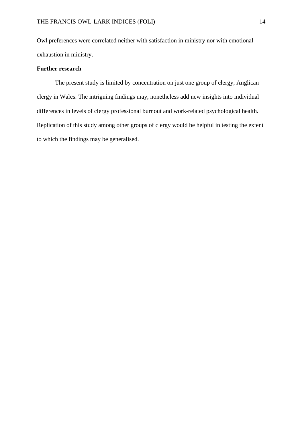Owl preferences were correlated neither with satisfaction in ministry nor with emotional exhaustion in ministry.

## **Further research**

The present study is limited by concentration on just one group of clergy, Anglican clergy in Wales. The intriguing findings may, nonetheless add new insights into individual differences in levels of clergy professional burnout and work-related psychological health. Replication of this study among other groups of clergy would be helpful in testing the extent to which the findings may be generalised.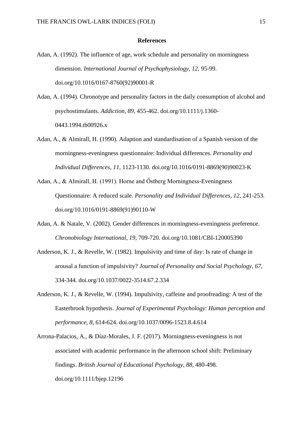#### **References**

Adan, A. (1992). The influence of age, work schedule and personality on morningness dimension. *International Journal of Psychophysiology*, *12*, 95-99. doi.org/10.1016/0167-8760(92)90001-R

Adan, A. (1994). Chronotype and personality factors in the daily consumption of alcohol and psychostimulants. *Addiction*, *89*, 455-462. doi.org/10.1111/j.1360- 0443.1994.tb00926.x

- Adan, A., & Almirall, H. (1990). Adaption and standardisation of a Spanish version of the morningness-eveningness questionnaire: Individual differences. *Personality and Individual Differences*, *11*, 1123-1130. doi.org/10.1016/0191-8869(90)90023-K
- Adan, A., & Almirall, H. (1991). Horne and Őstberg Morningness-Eveningness Questionnaire: A reduced scale. *Personality and Individual Differences*, *12*, 241-253. doi.org/10.1016/0191-8869(91)90110-W
- Adan, A. & Natale, V. (2002). Gender differences in morningness-eveningness preference. *Chronobiology International*, *19*, 709-720. doi.org/10.1081/CBI-120005390
- Anderson, K. J., & Revelle, W. (1982). Impulsivity and time of day: Is rate of change in arousal a function of impulsivity? *Journal of Personality and Social Psychology*, *67*, 334-344. doi.org/10.1037/0022-3514.67.2.334
- Anderson, K. J., & Revelle, W. (1994). Impulsivity, caffeine and proofreading: A test of the Easterbrook hypothesis. *Journal of Experimental Psychology*: *Human perception and performance*, *8*, 614-624. doi.org/10.1037/0096-1523.8.4.614
- Arrona-Palacios, A., & Díaz-Morales, J. F. (2017). Morningness-eveningness is not associated with academic performance in the afternoon school shift: Preliminary findings. *British Journal of Educational Psychology*, *88*, 480-498. doi.org/10.1111/bjep.12196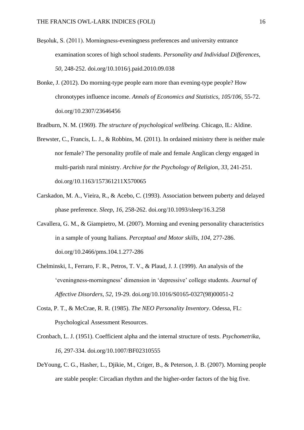- Beşoluk, S. (2011). Morningness-eveningness preferences and university entrance examination scores of high school students. *Personality and Individual Differences*, *50*, 248-252. doi.org/10.1016/j.paid.2010.09.038
- Bonke, J. (2012). Do morning-type people earn more than evening-type people? How chronotypes influence income. *Annals of Economics and Statistics*, *105/106*, 55-72. doi.org/10.2307/23646456

Bradburn, N. M. (1969). *The structure of psychological wellbeing.* Chicago, IL: Aldine.

- Brewster, C., Francis, L. J., & Robbins, M. (2011). In ordained ministry there is neither male nor female? The personality profile of male and female Anglican clergy engaged in multi-parish rural ministry. *Archive for the Psychology of Religion, 33*, 241-251*.* doi.org/10.1163/157361211X570065
- Carskadon, M. A., Vieira, R., & Acebo, C. (1993). Association between puberty and delayed phase preference. *Sleep*, *16*, 258-262. doi.org/10.1093/sleep/16.3.258
- Cavallera, G. M., & Giampietro, M. (2007). Morning and evening personality characteristics in a sample of young Italians. *Perceptual and Motor skills*, *104,* 277-286. doi.org/10.2466/pms.104.1.277-286
- Chelminski, I., Ferraro, F. R., Petros, T. V., & Plaud, J. J. (1999). An analysis of the 'eveningness-morningness' dimension in 'depressive' college students. *Journal of Affective Disorders*, *52*, 19-29. doi.org/10.1016/S0165-0327(98)00051-2
- Costa, P. T., & McCrae, R. R. (1985). *The NEO Personality Inventory*. Odessa, FL: Psychological Assessment Resources.
- Cronbach, L. J. (1951). Coefficient alpha and the internal structure of tests. *Psychometrika, 16*, 297-334. doi.org/10.1007/BF02310555
- DeYoung, C. G., Hasher, L., Djikie, M., Criger, B., & Peterson, J. B. (2007). Morning people are stable people: Circadian rhythm and the higher-order factors of the big five.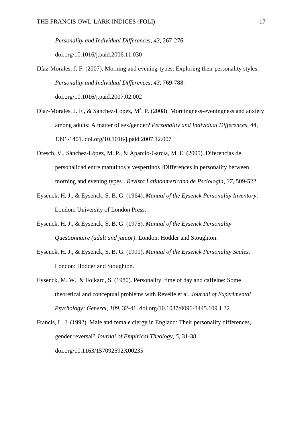*Personality and Individual Differences*, *43*, 267-276. doi.org/10.1016/j.paid.2006.11.030

- Díaz-Morales, J. F. (2007). Morning and evening-types: Exploring their personality styles. *Personality and Individual Differences*, *43*, 769-788. doi.org/10.1016/j.paid.2007.02.002
- Díaz-Morales, J. F., & Sánchez-Lopez, Mª. P. (2008). Morningness-eveningness and anxiety among adults: A matter of sex/gender? *Personality and Individual Differences*, *44*, 1391-1401. doi.org/10.1016/j.paid.2007.12.007
- Dresch, V., Sánchez-López, M. P., & Aparcio-García, M. E. (2005). Diferencias de personalidad entre matutinos y vespertinos [Differences in personality between morning and evening types]. *Revista Latinoamericana de Psciología*, *37*, 509-522.
- Eysenck, H. J., & Eysenck, S. B. G. (1964). *Manual of the Eysenck Personality Inventory*. London: University of London Press.
- Eysenck, H. J., & Eysenck, S. B. G. (1975). *Manual of the Eysenck Personality Questionnaire (adult and junior)*. London: Hodder and Stoughton.
- Eysenck, H. J., & Eysenck, S. B. G. (1991). *Manual of the Eysenck Personality Scales.* London: Hodder and Stoughton.
- Eysenck, M. W., & Folkard, S. (1980). Personality, time of day and caffeine: Some theoretical and conceptual problems with Revelle et al. *Journal of Experimental Psychology: General*, *109*, 32-41. doi.org/10.1037/0096-3445.109.1.32
- Francis, L. J. (1992). Male and female clergy in England: Their personality differences, gender reversal? *Journal of Empirical Theology*, *5*, 31-38. doi.org/10.1163/157092592X00235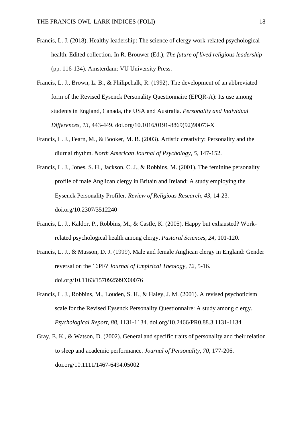- Francis, L. J. (2018). Healthy leadership: The science of clergy work-related psychological health. Edited collection. In R. Brouwer (Ed.), *The future of lived religious leadership* (pp. 116-134). Amsterdam: VU University Press.
- Francis, L. J., Brown, L. B., & Philipchalk, R. (1992). The development of an abbreviated form of the Revised Eysenck Personality Questionnaire (EPQR-A): Its use among students in England, Canada, the USA and Australia. *Personality and Individual Differences*, *13*, 443-449. doi.org/10.1016/0191-8869(92)90073-X
- Francis, L. J., Fearn, M., & Booker, M. B. (2003). Artistic creativity: Personality and the diurnal rhythm. *North American Journal of Psychology*, *5*, 147-152.
- Francis, L. J., Jones, S. H., Jackson, C. J., & Robbins, M. (2001). The feminine personality profile of male Anglican clergy in Britain and Ireland: A study employing the Eysenck Personality Profiler. *Review of Religious Research, 43*, 14-23. doi.org/10.2307/3512240
- Francis, L. J., Kaldor, P., Robbins, M., & Castle, K. (2005). Happy but exhausted? Workrelated psychological health among clergy. *Pastoral Sciences, 24*, 101-120.
- Francis, L. J., & Musson, D. J. (1999). Male and female Anglican clergy in England: Gender reversal on the 16PF? *Journal of Empirical Theology, 12*, 5-16. doi.org/10.1163/157092599X00076
- Francis, L. J., Robbins, M., Louden, S. H., & Haley, J. M. (2001). A revised psychoticism scale for the Revised Eysenck Personality Questionnaire: A study among clergy. *Psychological Report, 88*, 1131-1134. doi.org/10.2466/PR0.88.3.1131-1134
- Gray, E. K., & Watson, D. (2002). General and specific traits of personality and their relation to sleep and academic performance. *Journal of Personality*, *70*, 177-206. doi.org/10.1111/1467-6494.05002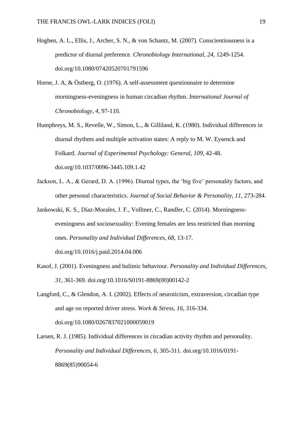- Hogben, A. L., Ellis, J., Archer, S. N., & von Schantz, M. (2007). Conscientiousness is a predictor of diurnal preference. *Chronobiology International*, *24*, 1249-1254. doi.org/10.1080/07420520701791596
- Horne, J. A, & Östberg, O. (1976). A self-assessment questionnaire to determine morningness-eveningness in human circadian rhythm. *International Journal of Chronobiology*, *4*, 97-110.
- Humphreys, M. S., Revelle, W., Simon, L., & Gilliland, K. (1980). Individual differences in diurnal rhythms and multiple activation states: A reply to M. W. Eysenck and Folkard. *Journal of Experimental Psychology: General*, *109,* 42-48. doi.org/10.1037/0096-3445.109.1.42
- Jackson, L. A., & Gerard, D. A. (1996). Diurnal types, the 'big five' personality factors, and other personal characteristics. *Journal of Social Behavior & Personality*, *11*, 273-284.
- Jankowski, K. S., Díaz-Morales, J. F., Vollmer, C., Randler, C. (2014). Morningnesseveningness and sociosexuality: Evening females are less restricted than morning ones. *Personality and Individual Differences*, *68*, 13-17. doi.org/10.1016/j.paid.2014.04.006
- Kasof, J. (2001). Eveningness and bulimic behaviour. *Personality and Individual Differences*, *31*, 361-369. doi.org/10.1016/S0191-8869(00)00142-2
- Langford, C., & Glendon, A. I. (2002). Effects of neuroticism, extraversion, circadian type and age on reported driver stress. *Work & Stress*, *16*, 316-334. doi.org/10.1080/0267837021000059019
- Larsen, R. J. (1985). Individual differences in circadian activity rhythm and personality. *Personality and Individual Differences*, *6*, 305-311. doi.org/10.1016/0191- 8869(85)90054-6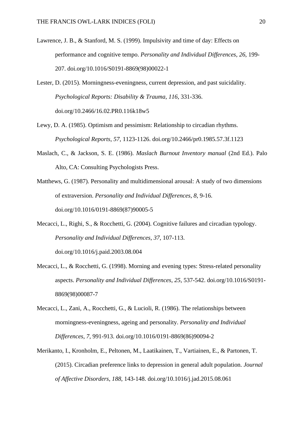Lawrence, J. B., & Stanford, M. S. (1999). Impulsivity and time of day: Effects on performance and cognitive tempo. *Personality and Individual Differences*, *26*, 199- 207. doi.org/10.1016/S0191-8869(98)00022-1

Lester, D. (2015). Morningness-eveningness, current depression, and past suicidality. *Psychological Reports: Disability & Trauma*, *116*, 331-336. doi.org/10.2466/16.02.PR0.116k18w5

- Lewy, D. A. (1985). Optimism and pessimism: Relationship to circadian rhythms. *Psychological Reports*, *57*, 1123-1126. doi.org/10.2466/pr0.1985.57.3f.1123
- Maslach, C., & Jackson, S. E. (1986). *Maslach Burnout Inventory manual* (2nd Ed.). Palo Alto, CA: Consulting Psychologists Press.

Matthews, G. (1987). Personality and multidimensional arousal: A study of two dimensions of extraversion. *Personality and Individual Differences*, *8*, 9-16. doi.org/10.1016/0191-8869(87)90005-5

Mecacci, L., Righi, S., & Rocchetti, G. (2004). Cognitive failures and circadian typology. *Personality and Individual Differences*, *37*, 107-113.

doi.org/10.1016/j.paid.2003.08.004

- Mecacci, L., & Rocchetti, G. (1998). Morning and evening types: Stress-related personality aspects. *Personality and Individual Differences*, *25*, 537-542. doi.org/10.1016/S0191- 8869(98)00087-7
- Mecacci, L., Zani, A., Rocchetti, G., & Lucioli, R. (1986). The relationships between morningness-eveningness, ageing and personality. *Personality and Individual Differences*, *7*, 991-913. doi.org/10.1016/0191-8869(86)90094-2
- Merikanto, I., Kronholm, E., Peltonen, M., Laatikainen, T., Vartiainen, E., & Partonen, T. (2015). Circadian preference links to depression in general adult population. *Journal of Affective Disorders*, *188*, 143-148. doi.org/10.1016/j.jad.2015.08.061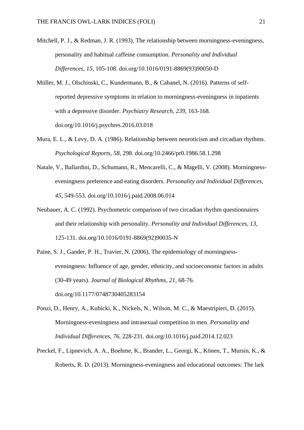- Mitchell, P. J., & Redman, J. R. (1993). The relationship between morningness-eveningness, personality and habitual caffeine consumption. *Personality and Individual Differences*, *15*, 105-108. doi.org/10.1016/0191-8869(93)90050-D
- Müller, M. J., Olschinski, C., Kundermann, B., & Cabanel, N. (2016). Patterns of selfreported depressive symptoms in relation to morningness-eveningness in inpatients with a depressive disorder. *Psychiatry Research*, *239*, 163-168. doi.org/10.1016/j.psychres.2016.03.018
- Mura, E. L., & Levy, D. A. (1986). Relationship between neuroticism and circadian rhythms. *Psychological Reports*, *58*, 298. doi.org/10.2466/pr0.1986.58.1.298
- Natale, V., Ballardini, D., Schumann, R., Mencarelli, C., & Magelli, V. (2008). Morningnesseveningness preference and eating disorders. *Personality and Individual Differences*, *45*, 549-553. doi.org/10.1016/j.paid.2008.06.014
- Neubauer, A. C. (1992). Psychometric comparison of two circadian rhythm questionnaires and their relationship with personality. *Personality and Individual Differences*, *13*, 125-131. doi.org/10.1016/0191-8869(92)90035-N
- Paine, S. J., Gander, P. H., Travier, N. (2006). The epidemiology of morningnesseveningness: Influence of age, gender, ethnicity, and socioeconomic factors in adults (30-49 years). *Journal of Biological Rhythms*, *21*, 68-76. doi.org/10.1177/0748730405283154
- Ponzi, D., Henry, A., Kubicki, K., Nickels, N., Wilson, M. C., & Maestripieri, D. (2015). Morningness-eveningness and intrasexual competition in men. *Personality and Individual Differences*, *76*, 228-231. doi.org/10.1016/j.paid.2014.12.023
- Preckel, F., Lipnevich, A. A., Boehme, K., Brander, L., Georgi, K., Könen, T., Mursin, K., & Roberts, R. D. (2013). Morningness-eveningness and educational outcomes: The lark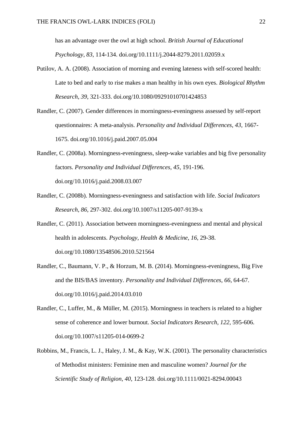has an advantage over the owl at high school. *British Journal of Educational Psychology*, *83*, 114-134. doi.org/10.1111/j.2044-8279.2011.02059.x

- Putilov, A. A. (2008). Association of morning and evening lateness with self-scored health: Late to bed and early to rise makes a man healthy in his own eyes. *Biological Rhythm Research*, *39*, 321-333. doi.org/10.1080/09291010701424853
- Randler, C. (2007). Gender differences in morningness-eveningness assessed by self-report questionnaires: A meta-analysis. *Personality and Individual Differences*, *43*, 1667- 1675. doi.org/10.1016/j.paid.2007.05.004
- Randler, C. (2008a). Morningness-eveningness, sleep-wake variables and big five personality factors. *Personality and Individual Differences*, *45*, 191-196. doi.org/10.1016/j.paid.2008.03.007
- Randler, C. (2008b). Morningness-eveningness and satisfaction with life. *Social Indicators Research*, *86*, 297-302. doi.org/10.1007/s11205-007-9139-x
- Randler, C. (2011). Association between morningness-eveningness and mental and physical health in adolescents. *Psychology, Health & Medicine*, *16*, 29-38. doi.org/10.1080/13548506.2010.521564
- Randler, C., Baumann, V. P., & Horzum, M. B. (2014). Morningness-eveningness, Big Five and the BIS/BAS inventory. *Personality and Individual Differences*, *66*, 64-67. doi.org/10.1016/j.paid.2014.03.010
- Randler, C., Luffer, M., & Müller, M. (2015). Morningness in teachers is related to a higher sense of coherence and lower burnout. *Social Indicators Research*, *122*, 595-606. doi.org/10.1007/s11205-014-0699-2
- Robbins, M., Francis, L. J., Haley, J. M., & Kay, W.K. (2001). The personality characteristics of Methodist ministers: Feminine men and masculine women? *Journal for the Scientific Study of Religion, 40*, 123-128. doi.org/10.1111/0021-8294.00043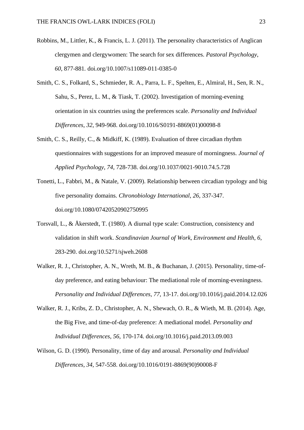- Robbins, M., Littler, K., & Francis, L. J. (2011). The personality characteristics of Anglican clergymen and clergywomen: The search for sex differences. *Pastoral Psychology*, *60*, 877-881*.* doi.org/10.1007/s11089-011-0385-0
- Smith, C. S., Folkard, S., Schmieder, R. A., Parra, L. F., Spelten, E., Almiral, H., Sen, R. N., Sahu, S., Perez, L. M., & Tiask, T. (2002). Investigation of morning-evening orientation in six countries using the preferences scale. *Personality and Individual Differences*, *32*, 949-968. doi.org/10.1016/S0191-8869(01)00098-8
- Smith, C. S., Reilly, C., & Midkiff, K. (1989). Evaluation of three circadian rhythm questionnaires with suggestions for an improved measure of morningness. *Journal of Applied Psychology*, *74*, 728-738. doi.org/10.1037/0021-9010.74.5.728
- Tonetti, L., Fabbri, M., & Natale, V. (2009). Relationship between circadian typology and big five personality domains. *Chronobiology International*, *26*, 337-347. doi.org/10.1080/07420520902750995
- Torsvall, L., & Åkerstedt, T. (1980). A diurnal type scale: Construction, consistency and validation in shift work. *Scandinavian Journal of Work, Environment and Health*, *6*, 283-290. doi.org/10.5271/sjweh.2608
- Walker, R. J., Christopher, A. N., Wreth, M. B., & Buchanan, J. (2015). Personality, time-ofday preference, and eating behaviour: The mediational role of morning-eveningness. *Personality and Individual Differences*, *77*, 13-17. doi.org/10.1016/j.paid.2014.12.026
- Walker, R. J., Kribs, Z. D., Christopher, A. N., Shewach, O. R., & Wieth, M. B. (2014). Age, the Big Five, and time-of-day preference: A mediational model. *Personality and Individual Differences*, *56*, 170-174. doi.org/10.1016/j.paid.2013.09.003
- Wilson, G. D. (1990). Personality, time of day and arousal. *Personality and Individual Differences*, *34*, 547-558. doi.org/10.1016/0191-8869(90)90008-F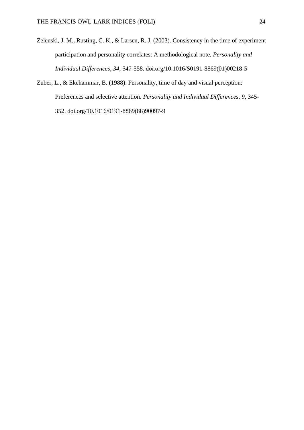- Zelenski, J. M., Rusting, C. K., & Larsen, R. J. (2003). Consistency in the time of experiment participation and personality correlates: A methodological note. *Personality and Individual Differences*, *34*, 547-558. doi.org/10.1016/S0191-8869(01)00218-5
- Zuber, L., & Ekehammar, B. (1988). Personality, time of day and visual perception: Preferences and selective attention. *Personality and Individual Differences*, *9*, 345- 352. doi.org/10.1016/0191-8869(88)90097-9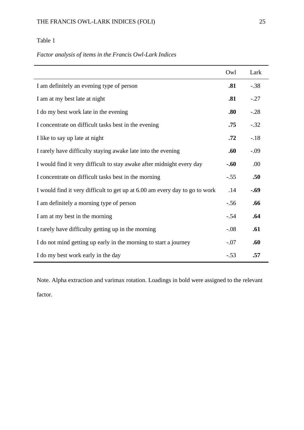## *Factor analysis of items in the Francis Owl-Lark Indices*

|                                                                             | Owl    | Lark   |
|-----------------------------------------------------------------------------|--------|--------|
| I am definitely an evening type of person                                   | .81    | $-.38$ |
| I am at my best late at night                                               | .81    | $-.27$ |
| I do my best work late in the evening                                       | .80    | $-.28$ |
| I concentrate on difficult tasks best in the evening                        | .75    | $-.32$ |
| I like to say up late at night                                              | .72    | $-.18$ |
| I rarely have difficulty staying awake late into the evening                | .60    | $-.09$ |
| I would find it very difficult to stay awake after midnight every day       | $-.60$ | .00    |
| I concentrate on difficult tasks best in the morning                        | $-.55$ | .50    |
| I would find it very difficult to get up at 6.00 am every day to go to work | .14    | $-.69$ |
| I am definitely a morning type of person                                    | $-.56$ | .66    |
| I am at my best in the morning                                              | $-.54$ | .64    |
| I rarely have difficulty getting up in the morning                          | $-.08$ | .61    |
| I do not mind getting up early in the morning to start a journey            | $-.07$ | .60    |
| I do my best work early in the day                                          | $-.53$ | .57    |

Note. Alpha extraction and varimax rotation. Loadings in bold were assigned to the relevant factor.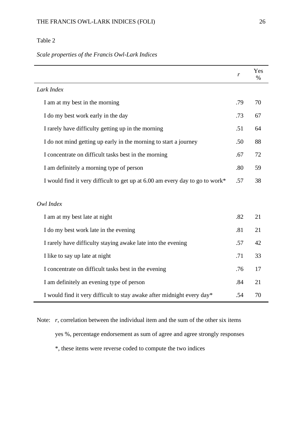*Scale properties of the Francis Owl-Lark Indices*

|                                                                              | r   | Yes<br>$\frac{0}{0}$ |
|------------------------------------------------------------------------------|-----|----------------------|
| Lark Index                                                                   |     |                      |
| I am at my best in the morning                                               | .79 | 70                   |
| I do my best work early in the day                                           | .73 | 67                   |
| I rarely have difficulty getting up in the morning                           | .51 | 64                   |
| I do not mind getting up early in the morning to start a journey             | .50 | 88                   |
| I concentrate on difficult tasks best in the morning                         | .67 | 72                   |
| I am definitely a morning type of person                                     | .80 | 59                   |
| I would find it very difficult to get up at 6.00 am every day to go to work* | .57 | 38                   |
| Owl Index                                                                    |     |                      |
| I am at my best late at night                                                | .82 | 21                   |
| I do my best work late in the evening                                        | .81 | 21                   |
| I rarely have difficulty staying awake late into the evening                 | .57 | 42                   |
| I like to say up late at night                                               | .71 | 33                   |
| I concentrate on difficult tasks best in the evening                         | .76 | 17                   |
| I am definitely an evening type of person                                    | .84 | 21                   |
| I would find it very difficult to stay awake after midnight every day*       | .54 | 70                   |

Note: *r*, correlation between the individual item and the sum of the other six items yes %, percentage endorsement as sum of agree and agree strongly responses \*, these items were reverse coded to compute the two indices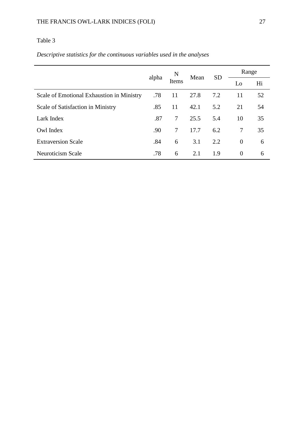# *Descriptive statistics for the continuous variables used in the analyses*

|                                           |       | N<br>Mean<br>Items |      | Range     |                |    |
|-------------------------------------------|-------|--------------------|------|-----------|----------------|----|
|                                           | alpha |                    |      | <b>SD</b> | Lo             | Hi |
| Scale of Emotional Exhaustion in Ministry | .78   | 11                 | 27.8 | 7.2       | 11             | 52 |
| Scale of Satisfaction in Ministry         | .85   | 11                 | 42.1 | 5.2       | 21             | 54 |
| Lark Index                                | .87   | 7                  | 25.5 | 5.4       | 10             | 35 |
| Owl Index                                 | .90   | 7                  | 17.7 | 6.2       | 7              | 35 |
| <b>Extraversion Scale</b>                 | .84   | 6                  | 3.1  | 2.2       | $\overline{0}$ | 6  |
| Neuroticism Scale                         | .78   | 6                  | 2.1  | 1.9       | $\theta$       | 6  |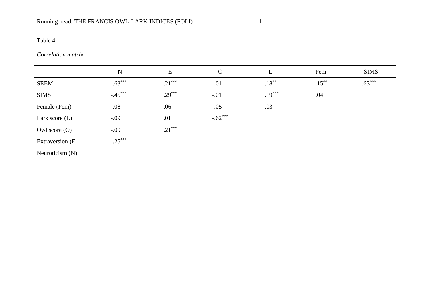# *Correlation matrix*

|                   | $\mathbf N$ | E         | $\Omega$  | L         | Fem       | <b>SIMS</b> |
|-------------------|-------------|-----------|-----------|-----------|-----------|-------------|
| <b>SEEM</b>       | $.63***$    | $-.21***$ | .01       | $-.18***$ | $-.15***$ | $-.63***$   |
| <b>SIMS</b>       | $-.45***$   | $.29***$  | $-.01$    | $.19***$  | .04       |             |
| Female (Fem)      | $-.08$      | .06       | $-.05$    | $-.03$    |           |             |
| Lark score $(L)$  | $-.09$      | .01       | $-.62***$ |           |           |             |
| Owl score $(O)$   | $-.09$      | $.21***$  |           |           |           |             |
| Extraversion (E   | $-.25***$   |           |           |           |           |             |
| Neuroticism $(N)$ |             |           |           |           |           |             |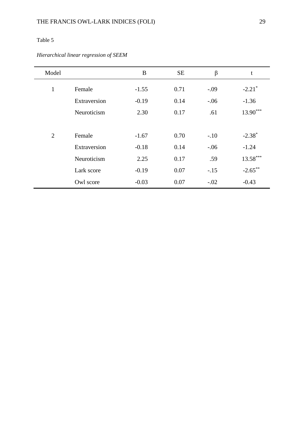## *Hierarchical linear regression of SEEM*

| Model          |              | B       | <b>SE</b> | β       | t                    |
|----------------|--------------|---------|-----------|---------|----------------------|
| $\mathbf{1}$   | Female       | $-1.55$ | 0.71      | $-.09$  | $-2.21$ <sup>*</sup> |
|                | Extraversion | $-0.19$ | 0.14      | $-0.06$ | $-1.36$              |
|                | Neuroticism  | 2.30    | 0.17      | .61     | $13.90***$           |
|                |              |         |           |         |                      |
| $\overline{2}$ | Female       | $-1.67$ | 0.70      | $-.10$  | $-2.38*$             |
|                | Extraversion | $-0.18$ | 0.14      | $-.06$  | $-1.24$              |
|                | Neuroticism  | 2.25    | 0.17      | .59     | $13.58***$           |
|                | Lark score   | $-0.19$ | 0.07      | $-.15$  | $-2.65***$           |
|                | Owl score    | $-0.03$ | 0.07      | $-.02$  | $-0.43$              |